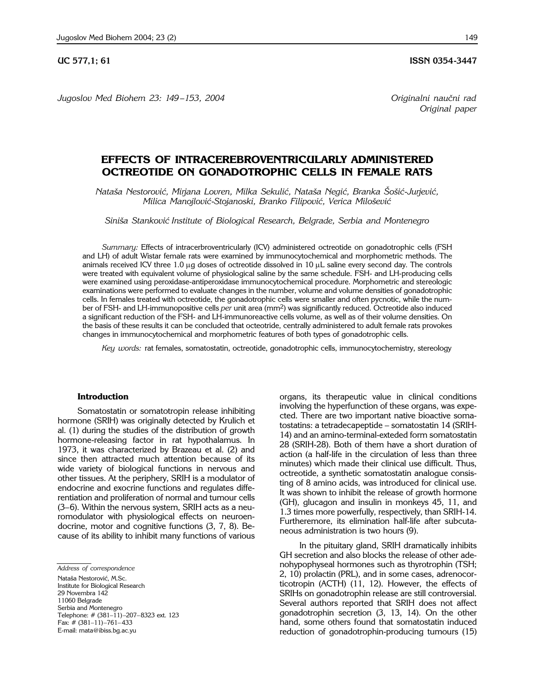**UC 577,1; 61 ISSN 0354-3447** 

*Jugoslov Med Biohem 23: 149 –153, 2004 Originalni nau~ni rad*

*Original paper*

# **EFFECTS OF INTRACEREBROVENTRICULARLY ADMINISTERED OCTREOTIDE ON GONADOTROPHIC CELLS IN FEMALE RATS**

*Nata{a Nestorovi}, Mirjana Lovren, Milka Sekuli}, Nata{a Negi}, Branka [o{i}*-*Jurjevi}, Milica Manojlović-Stojanoski, Branko Filipović, Verica Milošević* 

*Sini{a Stankovi} Institute of Biological Research, Belgrade, Serbia and Montenegro*

*Summary:* Effects of intracerbroventricularly (ICV) administered octreotide on gonadotrophic cells (FSH and LH) of adult Wistar female rats were examined by immunocytochemical and morphometric methods. The animals received ICV three 1.0  $\mu$ g doses of octreotide dissolved in 10  $\mu$ L saline every second day. The controls were treated with equivalent volume of physiological saline by the same schedule. FSH- and LH-producing cells were examined using peroxidase-antiperoxidase immunocytochemical procedure. Morphometric and stereologic examinations were performed to evaluate changes in the number, volume and volume densities of gonadotrophic cells. In females treated with octreotide, the gonadotrophic cells were smaller and often pycnotic, while the number of FSH- and LH-immunopositive cells *per* unit area (mm2) was significantly reduced. Octreotide also induced a significant reduction of the FSH- and LH-immunoreactive cells volume, as well as of their volume densities. On the basis of these results it can be concluded that octeotride, centrally administered to adult female rats provokes changes in immunocytochemical and morphometric features of both types of gonadotrophic cells.

*Key words:* rat females, somatostatin, octreotide, gonadotrophic cells, immunocytochemistry, stereology

### **Introduction**

Somatostatin or somatotropin release inhibiting hormone (SRIH) was originally detected by Krulich et al. (1) during the studies of the distribution of growth hormone-releasing factor in rat hypothalamus. In 1973, it was characterized by Brazeau et al. (2) and since then attracted much attention because of its wide variety of biological functions in nervous and other tissues. At the periphery, SRIH is a modulator of endocrine and exocrine functions and regulates differentiation and proliferation of normal and tumour cells  $(3-6)$ . Within the nervous system, SRIH acts as a neuromodulator with physiological effects on neuroendocrine, motor and cognitive functions (3, 7, 8). Because of its ability to inhibit many functions of various

*Address of correspondence* Nataša Nestorović, M.Sc. Institute for Biological Research 29 Novembra 142 11060 Belgrade Serbia and Montenegro Telephone: # (381–11)–207–8323 ext. 123  $Fax: # (381-11)-761-433$ E-mail: rnata@ibiss.bg.ac.yu

organs, its therapeutic value in clinical conditions involving the hyperfunction of these organs, was expected. There are two important native bioactive somatostatins: a tetradecapeptide - somatostatin 14 (SRIH-14) and an amino-terminal-exteded form somatostatin 28 (SRIH-28). Both of them have a short duration of action (a half-life in the circulation of less than three minutes) which made their clinical use difficult. Thus, octreotide, a synthetic somatostatin analogue consisting of 8 amino acids, was introduced for clinical use. It was shown to inhibit the release of growth hormone (GH), glucagon and insulin in monkeys 45, 11, and 1.3 times more powerfully, respectively, than SRIH-14. Furtheremore, its elimination half-life after subcutaneous administration is two hours (9).

In the pituitary gland, SRIH dramatically inhibits GH secretion and also blocks the release of other adenohypophyseal hormones such as thyrotrophin (TSH; 2, 10) prolactin (PRL), and in some cases, adrenocorticotropin (ACTH) (11, 12). However, the effects of SRIHs on gonadotrophin release are still controversial. Several authors reported that SRIH does not affect gonadotrophin secretion (3, 13, 14). On the other hand, some others found that somatostatin induced reduction of gonadotrophin-producing tumours (15)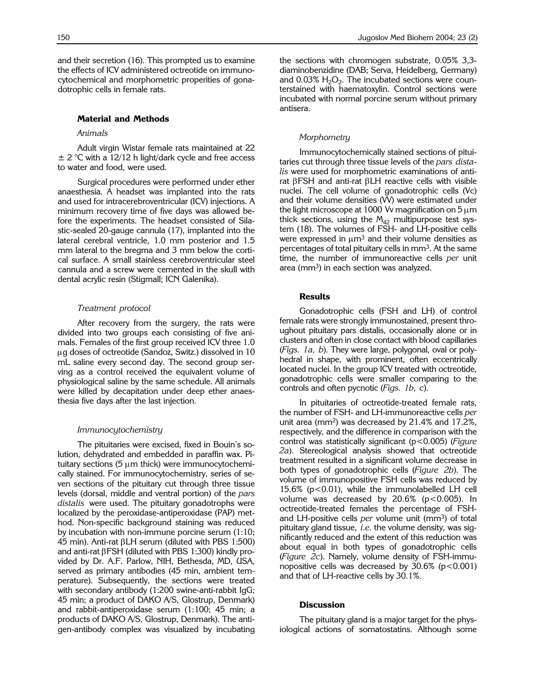and their secretion (16). This prompted us to examine the effects of ICV administered octreotide on immunocytochemical and morphometric properities of gonadotrophic cells in female rats.

### **Material and Methods**

## *Animals*

Adult virgin Wistar female rats maintained at 22  $\pm$  2 °C with a 12/12 h light/dark cycle and free access to water and food, were used.

Surgical procedures were performed under ether anaesthesia. A headset was implanted into the rats and used for intracerebroventricular (ICV) injections. A minimum recovery time of five days was allowed before the experiments. The headset consisted of Silastic-sealed 20-gauge cannula (17), implanted into the lateral cerebral ventricle, 1.0 mm posterior and 1.5 mm lateral to the bregma and 3 mm below the cortical surface. A small stainless cerebroventricular steel cannula and a screw were cemented in the skull with dental acrylic resin (Stigmall; ICN Galenika).

## *Treatment protocol*

After recovery from the surgery, the rats were divided into two groups each consisting of five animals. Females of the first group received ICV three 1.0 ug doses of octreotide (Sandoz, Switz.) dissolved in 10 mL saline every second day. The second group serving as a control received the equivalent volume of physiological saline by the same schedule. All animals were killed by decapitation under deep ether anaesthesia five days after the last injection.

## *Immunocytochemistry*

The pituitaries were excised, fixed in Bouin's solution, dehydrated and embedded in paraffin wax. Pituitary sections  $(5 \mu m)$  thick) were immunocytochemically stained. For immunocytochemistry, series of seven sections of the pituitary cut through three tissue levels (dorsal, middle and ventral portion) of the *pars distalis* were used. The pituitary gonadotrophs were localized by the peroxidase-antiperoxidase (PAP) method. Non-specific background staining was reduced by incubation with non-immune porcine serum (1:10; 45 min). Anti-rat  $\beta$ LH serum (diluted with PBS 1:500) and anti-rat  $\beta$ FSH (diluted with PBS 1:300) kindly provided by Dr. A.F. Parlow, NIH, Bethesda, MD, USA, served as primary antibodies (45 min, ambient temperature). Subsequently, the sections were treated with secondary antibody (1:200 swine-anti-rabbit IgG; 45 min; a product of DAKO A/S, Glostrup, Denmark) and rabbit-antiperoxidase serum (1:100; 45 min; a products of DAKO A/S, Glostrup, Denmark). The antigen-antibody complex was visualized by incubating the sections with chromogen substrate, 0.05% 3,3 diaminobenzidine (DAB; Serva, Heidelberg, Germany) and  $0.03\%$  H<sub>2</sub>O<sub>2</sub>. The incubated sections were counterstained with haematoxylin. Control sections were incubated with normal porcine serum without primary antisera.

# *Morphometry*

Immunocytochemically stained sections of pituitaries cut through three tissue levels of the *pars distalis* were used for morphometric examinations of antirat  $\beta$ FSH and anti-rat  $\beta$ LH reactive cells with visible nuclei. The cell volume of gonadotrophic cells (Vc) and their volume densities (VV) were estimated under the light microscope at 1000 Vv magnification on  $5 \mu m$ thick sections, using the  $M_{42}$  multipurpose test system (18). The volumes of FSH- and LH-positive cells were expressed in  $\mu$ m<sup>3</sup> and their volume densities as percentages of total pituitary cells in mm3. At the same time, the number of immunoreactive cells *per* unit area (mm<sup>3</sup>) in each section was analyzed.

### **Results**

Gonadotrophic cells (FSH and LH) of control female rats were strongly immunostained, present throughout pituitary pars distalis, occasionally alone or in clusters and often in close contact with blood capillaries (*Figs. 1a, b*). They were large, polygonal, oval or polyhedral in shape, with prominent, often eccentrically located nuclei. In the group ICV treated with octreotide, gonadotrophic cells were smaller comparing to the controls and often pycnotic (*Figs. 1b, c*).

In pituitaries of octreotide-treated female rats, the number of FSH- and LH-immunoreactive cells *per* unit area (mm2) was decreased by 21.4% and 17.2%, respectively, and the difference in comparison with the control was statistically significant (p<0.005) (*Figure 2a*). Stereological analysis showed that octreotide treatment resulted in a significant volume decrease in both types of gonadotrophic cells (*Figure 2b*). The volume of immunopositive FSH cells was reduced by 15.6% (p<0.01), while the immunolabelled LH cell volume was decreased by  $20.6\%$  ( $p < 0.005$ ). In octreotide-treated females the percentage of FSHand LH-positive cells *per* volume unit (mm3) of total pituitary gland tissue, *i.e.* the volume density, was significantly reduced and the extent of this reduction was about equal in both types of gonadotrophic cells (*Figure 2c*). Namely, volume density of FSH-immunopositive cells was decreased by  $30.6\%$  (p < 0.001) and that of LH-reactive cells by 30.1%.

## **Discussion**

The pituitary gland is a major target for the physiological actions of somatostatins. Although some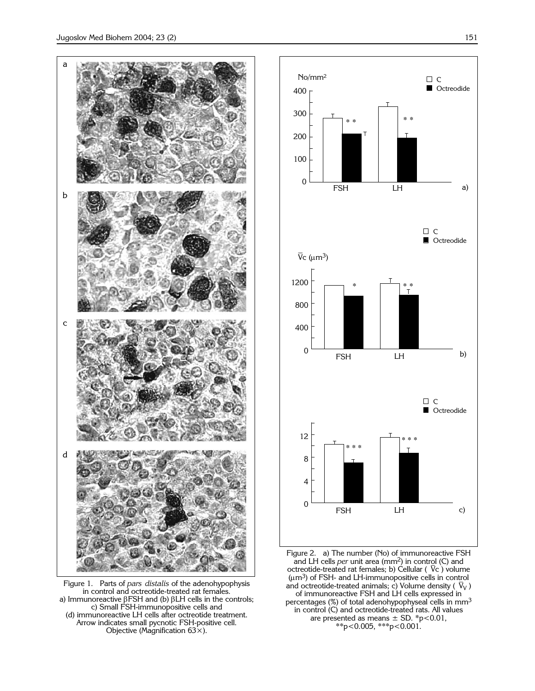

Figure 1. Parts of *pars distalis* of the adenohypophysis in control and octreotide-treated rat females. a) Immunoreactive  $\beta$ FSH and (b)  $\beta$ LH cells in the controls; c) Small FSH-immunopositive cells and (d) immunoreactive LH cells after octreotide treatment. Arrow indicates small pycnotic FSH-positive cell. Objective (Magnification  $63x$ ).



Figure 2. a) The number (No) of immunoreactive FSH and LH cells *per* unit area (mm2) in control (C) and octreotide-treated rat females; b) Cellular ( $\rm\,\bar{\nabla}$ c ) volume  $(\mu m^3)$  of FSH- and LH-immunopositive cells in control and octreotide-treated animals; c) Volume density ( $\bar{V}_V$ ) of immunoreactive FSH and LH cells expressed in percentages (%) of total adenohypophyseal cells in mm<sup>3</sup> in control (C) and octreotide-treated rats. All values are presented as means  $\pm$  SD. \*p<0.01, \*\*p<0.005, \*\*\*p<0.001.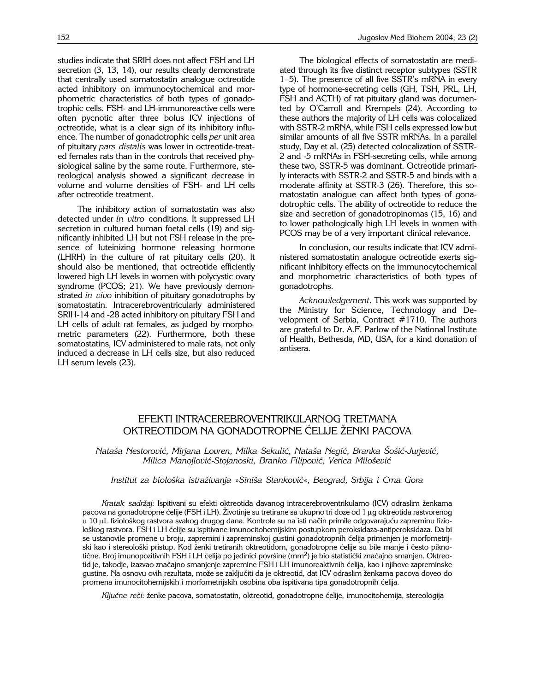studies indicate that SRIH does not affect FSH and LH secretion (3, 13, 14), our results clearly demonstrate that centrally used somatostatin analogue octreotide acted inhibitory on immunocytochemical and morphometric characteristics of both types of gonadotrophic cells. FSH- and LH-immunoreactive cells were often pycnotic after three bolus ICV injections of octreotide, what is a clear sign of its inhibitory influence. The number of gonadotrophic cells *per* unit area of pituitary *pars distalis* was lower in octreotide-treated females rats than in the controls that received physiological saline by the same route. Furthermore, stereological analysis showed a significant decrease in volume and volume densities of FSH- and LH cells after octreotide treatment.

The inhibitory action of somatostatin was also detected under *in vitro* conditions. It suppressed LH secretion in cultured human foetal cells (19) and significantly inhibited LH but not FSH release in the presence of luteinizing hormone releasing hormone (LHRH) in the culture of rat pituitary cells (20). It should also be mentioned, that octreotide efficiently lowered high LH levels in women with polycystic ovary syndrome (PCOS; 21). We have previously demonstrated *in vivo* inhibition of pituitary gonadotrophs by somatostatin. Intracerebroventricularly administered SRIH-14 and -28 acted inhibitory on pituitary FSH and LH cells of adult rat females, as judged by morphometric parameters (22). Furthermore, both these somatostatins, ICV administered to male rats, not only induced a decrease in LH cells size, but also reduced LH serum levels (23).

The biological effects of somatostatin are mediated through its five distinct receptor subtypes (SSTR 1–5). The presence of all five SSTR's mRNA in every type of hormone-secreting cells (GH, TSH, PRL, LH, FSH and ACTH) of rat pituitary gland was documented by O'Carroll and Krempels (24). According to these authors the majority of LH cells was colocalized with SSTR-2 mRNA, while FSH cells expressed low but similar amounts of all five SSTR mRNAs. In a parallel study, Day et al. (25) detected colocalization of SSTR-2 and -5 mRNAs in FSH-secreting cells, while among these two, SSTR-5 was dominant. Octreotide primarily interacts with SSTR-2 and SSTR-5 and binds with a moderate affinity at SSTR-3 (26). Therefore, this somatostatin analogue can affect both types of gonadotrophic cells. The ability of octreotide to reduce the size and secretion of gonadotropinomas (15, 16) and to lower pathologically high LH levels in women with PCOS may be of a very important clinical relevance.

In conclusion, our results indicate that ICV administered somatostatin analogue octreotide exerts significant inhibitory effects on the immunocytochemical and morphometric characteristics of both types of gonadotrophs.

*Acknowledgement*. This work was supported by the Ministry for Science, Technology and Development of Serbia, Contract #1710. The authors are grateful to Dr. A.F. Parlow of the National Institute of Health, Bethesda, MD, USA, for a kind donation of antisera.

# EFEKTI INTRACEREBROVENTRIKULARNOG TRETMANA OKTREOTIDOM NA GONADOTROPNE ĆELIJE ŽENKI PACOVA

*Nata{a Nestorovi}, Mirjana Lovren, Milka Sekuli}, Nata{a Negi}, Branka [o{i}*-*Jurjevi}, Milica Manojlovi}*-*Stojanoski, Branko Filipovi}, Verica Milo{evi}*

*Institut za biolo{ka istra`ivanja* »*Sini{a Stankovi}*«*, Beograd, Srbija i Crna Gora*

Kratak sadržaj: Ispitivani su efekti oktreotida davanog intracerebroventrikularno (ICV) odraslim ženkama pacova na gonadotropne ćelije (FSH i LH). Životinje su tretirane sa ukupno tri doze od 1 µg oktreotida rastvorenog u 10 µL fiziološkog rastvora svakog drugog dana. Kontrole su na isti način primile odgovarajuću zapreminu fiziološkog rastvora. FSH i LH ćelije su ispitivane imunocitohemijskim postupkom peroksidaza-antiperoksidaza. Da bi se ustanovile promene u broju, zapremini i zapreminskoj gustini gonadotropnih ćelija primenjen je morfometrijski kao i stereološki pristup. Kod ženki tretiranih oktreotidom, gonadotropne ćelije su bile manje i često piknotične. Broj imunopozitivnih FSH i LH ćelija po jedinici površine (mm<sup>2</sup>) je bio statistički značajno smanjen. Oktreotid je, takodje, izazvao značajno smanjenje zapremine FSH i LH imunoreaktivnih ćelija, kao i njihove zapreminske gustine. Na osnovu ovih rezultata, može se zaključiti da je oktreotid, dat ICV odraslim ženkama pacova doveo do promena imunocitohemijskih i morfometrijskih osobina oba ispitivana tipa gonadotropnih ćelija.

Ključne reči: ženke pacova, somatostatin, oktreotid, gonadotropne ćelije, imunocitohemija, stereologija